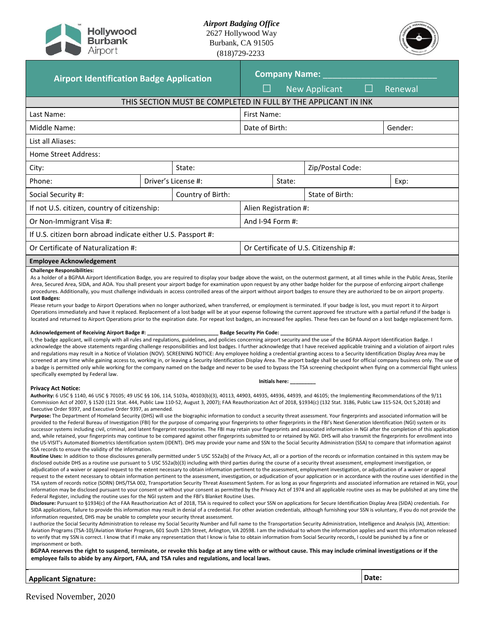

*Airport Badging Office* 2627 Hollywood Way Burbank, CA 91505 (818)729-2233



| <b>Airport Identification Badge Application</b>                                                                                                                                                                                                                                                                                                                                                                                                                                                                                                                                                                                                                                                                                                                                                                                                                                                                                                                                                                                                                                                                                                                                                                                                                                                                                                                                                                                                                                                                                                                                                                                                                                                                                                                                                                                                                                                                                                                                                                                                                                                                                                                                                                                                                                                                                                                                                                                                                                                                                                                                                                                                                                                                                                                                                                                                                                                                                                                                                                                                                                                                                                                                                                                                                                                                                                                                                                                                                                                                                                                                                                                                                                                                                                                                                                                                               |  |                     | <b>Company Name:</b>                  |                       |                  |  |         |  |  |
|---------------------------------------------------------------------------------------------------------------------------------------------------------------------------------------------------------------------------------------------------------------------------------------------------------------------------------------------------------------------------------------------------------------------------------------------------------------------------------------------------------------------------------------------------------------------------------------------------------------------------------------------------------------------------------------------------------------------------------------------------------------------------------------------------------------------------------------------------------------------------------------------------------------------------------------------------------------------------------------------------------------------------------------------------------------------------------------------------------------------------------------------------------------------------------------------------------------------------------------------------------------------------------------------------------------------------------------------------------------------------------------------------------------------------------------------------------------------------------------------------------------------------------------------------------------------------------------------------------------------------------------------------------------------------------------------------------------------------------------------------------------------------------------------------------------------------------------------------------------------------------------------------------------------------------------------------------------------------------------------------------------------------------------------------------------------------------------------------------------------------------------------------------------------------------------------------------------------------------------------------------------------------------------------------------------------------------------------------------------------------------------------------------------------------------------------------------------------------------------------------------------------------------------------------------------------------------------------------------------------------------------------------------------------------------------------------------------------------------------------------------------------------------------------------------------------------------------------------------------------------------------------------------------------------------------------------------------------------------------------------------------------------------------------------------------------------------------------------------------------------------------------------------------------------------------------------------------------------------------------------------------------------------------------------------------------------------------------------------------------------------------------------------------------------------------------------------------------------------------------------------------------------------------------------------------------------------------------------------------------------------------------------------------------------------------------------------------------------------------------------------------------------------------------------------------------------------------------------------------|--|---------------------|---------------------------------------|-----------------------|------------------|--|---------|--|--|
|                                                                                                                                                                                                                                                                                                                                                                                                                                                                                                                                                                                                                                                                                                                                                                                                                                                                                                                                                                                                                                                                                                                                                                                                                                                                                                                                                                                                                                                                                                                                                                                                                                                                                                                                                                                                                                                                                                                                                                                                                                                                                                                                                                                                                                                                                                                                                                                                                                                                                                                                                                                                                                                                                                                                                                                                                                                                                                                                                                                                                                                                                                                                                                                                                                                                                                                                                                                                                                                                                                                                                                                                                                                                                                                                                                                                                                                               |  |                     | $\Box$                                |                       | New Applicant    |  | Renewal |  |  |
| THIS SECTION MUST BE COMPLETED IN FULL BY THE APPLICANT IN INK                                                                                                                                                                                                                                                                                                                                                                                                                                                                                                                                                                                                                                                                                                                                                                                                                                                                                                                                                                                                                                                                                                                                                                                                                                                                                                                                                                                                                                                                                                                                                                                                                                                                                                                                                                                                                                                                                                                                                                                                                                                                                                                                                                                                                                                                                                                                                                                                                                                                                                                                                                                                                                                                                                                                                                                                                                                                                                                                                                                                                                                                                                                                                                                                                                                                                                                                                                                                                                                                                                                                                                                                                                                                                                                                                                                                |  |                     |                                       |                       |                  |  |         |  |  |
| Last Name:                                                                                                                                                                                                                                                                                                                                                                                                                                                                                                                                                                                                                                                                                                                                                                                                                                                                                                                                                                                                                                                                                                                                                                                                                                                                                                                                                                                                                                                                                                                                                                                                                                                                                                                                                                                                                                                                                                                                                                                                                                                                                                                                                                                                                                                                                                                                                                                                                                                                                                                                                                                                                                                                                                                                                                                                                                                                                                                                                                                                                                                                                                                                                                                                                                                                                                                                                                                                                                                                                                                                                                                                                                                                                                                                                                                                                                                    |  |                     |                                       | First Name:           |                  |  |         |  |  |
| Middle Name:                                                                                                                                                                                                                                                                                                                                                                                                                                                                                                                                                                                                                                                                                                                                                                                                                                                                                                                                                                                                                                                                                                                                                                                                                                                                                                                                                                                                                                                                                                                                                                                                                                                                                                                                                                                                                                                                                                                                                                                                                                                                                                                                                                                                                                                                                                                                                                                                                                                                                                                                                                                                                                                                                                                                                                                                                                                                                                                                                                                                                                                                                                                                                                                                                                                                                                                                                                                                                                                                                                                                                                                                                                                                                                                                                                                                                                                  |  | Date of Birth:      |                                       |                       | Gender:          |  |         |  |  |
| List all Aliases:                                                                                                                                                                                                                                                                                                                                                                                                                                                                                                                                                                                                                                                                                                                                                                                                                                                                                                                                                                                                                                                                                                                                                                                                                                                                                                                                                                                                                                                                                                                                                                                                                                                                                                                                                                                                                                                                                                                                                                                                                                                                                                                                                                                                                                                                                                                                                                                                                                                                                                                                                                                                                                                                                                                                                                                                                                                                                                                                                                                                                                                                                                                                                                                                                                                                                                                                                                                                                                                                                                                                                                                                                                                                                                                                                                                                                                             |  |                     |                                       |                       |                  |  |         |  |  |
| Home Street Address:                                                                                                                                                                                                                                                                                                                                                                                                                                                                                                                                                                                                                                                                                                                                                                                                                                                                                                                                                                                                                                                                                                                                                                                                                                                                                                                                                                                                                                                                                                                                                                                                                                                                                                                                                                                                                                                                                                                                                                                                                                                                                                                                                                                                                                                                                                                                                                                                                                                                                                                                                                                                                                                                                                                                                                                                                                                                                                                                                                                                                                                                                                                                                                                                                                                                                                                                                                                                                                                                                                                                                                                                                                                                                                                                                                                                                                          |  |                     |                                       |                       |                  |  |         |  |  |
| City:                                                                                                                                                                                                                                                                                                                                                                                                                                                                                                                                                                                                                                                                                                                                                                                                                                                                                                                                                                                                                                                                                                                                                                                                                                                                                                                                                                                                                                                                                                                                                                                                                                                                                                                                                                                                                                                                                                                                                                                                                                                                                                                                                                                                                                                                                                                                                                                                                                                                                                                                                                                                                                                                                                                                                                                                                                                                                                                                                                                                                                                                                                                                                                                                                                                                                                                                                                                                                                                                                                                                                                                                                                                                                                                                                                                                                                                         |  | State:              |                                       |                       | Zip/Postal Code: |  |         |  |  |
| Phone:                                                                                                                                                                                                                                                                                                                                                                                                                                                                                                                                                                                                                                                                                                                                                                                                                                                                                                                                                                                                                                                                                                                                                                                                                                                                                                                                                                                                                                                                                                                                                                                                                                                                                                                                                                                                                                                                                                                                                                                                                                                                                                                                                                                                                                                                                                                                                                                                                                                                                                                                                                                                                                                                                                                                                                                                                                                                                                                                                                                                                                                                                                                                                                                                                                                                                                                                                                                                                                                                                                                                                                                                                                                                                                                                                                                                                                                        |  | Driver's License #: |                                       | State:                | Exp:             |  |         |  |  |
| Social Security #:                                                                                                                                                                                                                                                                                                                                                                                                                                                                                                                                                                                                                                                                                                                                                                                                                                                                                                                                                                                                                                                                                                                                                                                                                                                                                                                                                                                                                                                                                                                                                                                                                                                                                                                                                                                                                                                                                                                                                                                                                                                                                                                                                                                                                                                                                                                                                                                                                                                                                                                                                                                                                                                                                                                                                                                                                                                                                                                                                                                                                                                                                                                                                                                                                                                                                                                                                                                                                                                                                                                                                                                                                                                                                                                                                                                                                                            |  | Country of Birth:   |                                       | State of Birth:       |                  |  |         |  |  |
| If not U.S. citizen, country of citizenship:                                                                                                                                                                                                                                                                                                                                                                                                                                                                                                                                                                                                                                                                                                                                                                                                                                                                                                                                                                                                                                                                                                                                                                                                                                                                                                                                                                                                                                                                                                                                                                                                                                                                                                                                                                                                                                                                                                                                                                                                                                                                                                                                                                                                                                                                                                                                                                                                                                                                                                                                                                                                                                                                                                                                                                                                                                                                                                                                                                                                                                                                                                                                                                                                                                                                                                                                                                                                                                                                                                                                                                                                                                                                                                                                                                                                                  |  |                     | Alien Registration #:                 |                       |                  |  |         |  |  |
| Or Non-Immigrant Visa #:                                                                                                                                                                                                                                                                                                                                                                                                                                                                                                                                                                                                                                                                                                                                                                                                                                                                                                                                                                                                                                                                                                                                                                                                                                                                                                                                                                                                                                                                                                                                                                                                                                                                                                                                                                                                                                                                                                                                                                                                                                                                                                                                                                                                                                                                                                                                                                                                                                                                                                                                                                                                                                                                                                                                                                                                                                                                                                                                                                                                                                                                                                                                                                                                                                                                                                                                                                                                                                                                                                                                                                                                                                                                                                                                                                                                                                      |  |                     | And I-94 Form #:                      |                       |                  |  |         |  |  |
| If U.S. citizen born abroad indicate either U.S. Passport #:                                                                                                                                                                                                                                                                                                                                                                                                                                                                                                                                                                                                                                                                                                                                                                                                                                                                                                                                                                                                                                                                                                                                                                                                                                                                                                                                                                                                                                                                                                                                                                                                                                                                                                                                                                                                                                                                                                                                                                                                                                                                                                                                                                                                                                                                                                                                                                                                                                                                                                                                                                                                                                                                                                                                                                                                                                                                                                                                                                                                                                                                                                                                                                                                                                                                                                                                                                                                                                                                                                                                                                                                                                                                                                                                                                                                  |  |                     |                                       |                       |                  |  |         |  |  |
| Or Certificate of Naturalization #:                                                                                                                                                                                                                                                                                                                                                                                                                                                                                                                                                                                                                                                                                                                                                                                                                                                                                                                                                                                                                                                                                                                                                                                                                                                                                                                                                                                                                                                                                                                                                                                                                                                                                                                                                                                                                                                                                                                                                                                                                                                                                                                                                                                                                                                                                                                                                                                                                                                                                                                                                                                                                                                                                                                                                                                                                                                                                                                                                                                                                                                                                                                                                                                                                                                                                                                                                                                                                                                                                                                                                                                                                                                                                                                                                                                                                           |  |                     | Or Certificate of U.S. Citizenship #: |                       |                  |  |         |  |  |
| <b>Employee Acknowledgement</b>                                                                                                                                                                                                                                                                                                                                                                                                                                                                                                                                                                                                                                                                                                                                                                                                                                                                                                                                                                                                                                                                                                                                                                                                                                                                                                                                                                                                                                                                                                                                                                                                                                                                                                                                                                                                                                                                                                                                                                                                                                                                                                                                                                                                                                                                                                                                                                                                                                                                                                                                                                                                                                                                                                                                                                                                                                                                                                                                                                                                                                                                                                                                                                                                                                                                                                                                                                                                                                                                                                                                                                                                                                                                                                                                                                                                                               |  |                     |                                       |                       |                  |  |         |  |  |
| Lost Badges:<br>Please return your badge to Airport Operations when no longer authorized, when transferred, or employment is terminated. If your badge is lost, you must report it to Airport<br>Operations immediately and have it replaced. Replacement of a lost badge will be at your expense following the current approved fee structure with a partial refund if the badge is<br>located and returned to Airport Operations prior to the expiration date. For repeat lost badges, an increased fee applies. These fees can be found on a lost badge replacement form.<br>Acknowledgement of Receiving Airport Badge #: _<br>I, the badge applicant, will comply with all rules and regulations, guidelines, and policies concerning airport security and the use of the BGPAA Airport Identification Badge. I<br>acknowledge the above statements regarding challenge responsibilities and lost badges. I further acknowledge that I have received applicable training and a violation of airport rules<br>and regulations may result in a Notice of Violation (NOV). SCREENING NOTICE: Any employee holding a credential granting access to a Security Identification Display Area may be<br>screened at any time while gaining access to, working in, or leaving a Security Identification Display Area. The airport badge shall be used for official company business only. The use of<br>a badge is permitted only while working for the company named on the badge and never to be used to bypass the TSA screening checkpoint when flying on a commercial flight unless<br>specifically exempted by Federal law.                                                                                                                                                                                                                                                                                                                                                                                                                                                                                                                                                                                                                                                                                                                                                                                                                                                                                                                                                                                                                                                                                                                                                                                                                                                                                                                                                                                                                                                                                                                                                                                                                                                                                                                                                                                                                                                                                                                                                                                                                                                                                                                                                                                                                                 |  |                     | Badge Security Pin Code: __           |                       |                  |  |         |  |  |
| <b>Privacy Act Notice:</b>                                                                                                                                                                                                                                                                                                                                                                                                                                                                                                                                                                                                                                                                                                                                                                                                                                                                                                                                                                                                                                                                                                                                                                                                                                                                                                                                                                                                                                                                                                                                                                                                                                                                                                                                                                                                                                                                                                                                                                                                                                                                                                                                                                                                                                                                                                                                                                                                                                                                                                                                                                                                                                                                                                                                                                                                                                                                                                                                                                                                                                                                                                                                                                                                                                                                                                                                                                                                                                                                                                                                                                                                                                                                                                                                                                                                                                    |  |                     |                                       | Initials here: ______ |                  |  |         |  |  |
| Authority: 6 USC § 1140, 46 USC § 70105; 49 USC §§ 106, 114, 5103a, 40103(b)(3), 40113, 44903, 44935, 44936, 44939, and 46105; the Implementing Recommendations of the 9/11<br>Commission Act of 2007, § 1520 (121 Stat. 444, Public Law 110-52, August 3, 2007); FAA Reauthorization Act of 2018, §1934(c) (132 Stat. 3186, Public Law 115-524, Oct 5,2018) and<br>Executive Order 9397, and Executive Order 9397, as amended.<br>Purpose: The Department of Homeland Security (DHS) will use the biographic information to conduct a security threat assessment. Your fingerprints and associated information will be<br>provided to the Federal Bureau of Investigation (FBI) for the purpose of comparing your fingerprints to other fingerprints in the FBI's Next Generation Identification (NGI) system or its<br>successor systems including civil, criminal, and latent fingerprint repositories. The FBI may retain your fingerprints and associated information in NGI after the completion of this application<br>and, while retained, your fingerprints may continue to be compared against other fingerprints submitted to or retained by NGI. DHS will also transmit the fingerprints for enrollment into<br>the US-VISIT's Automated Biometrics Identification system (IDENT). DHS may provide your name and SSN to the Social Security Administration (SSA) to compare that information against<br>SSA records to ensure the validity of the information.<br>Routine Uses: In addition to those disclosures generally permitted under 5 USC 552a(b) of the Privacy Act, all or a portion of the records or information contained in this system may be<br>disclosed outside DHS as a routine use pursuant to 5 USC 552a(b)(3) including with third parties during the course of a security threat assessment, employment investigation, or<br>adjudication of a waiver or appeal request to the extent necessary to obtain information pertinent to the assessment, employment investigation, or adjudication of a waiver or appeal<br>request to the extent necessary to obtain information pertinent to the assessment, investigation, or adjudication of your application or in accordance with the routine uses identified in the<br>TSA system of records notice (SORN) DHS/TSA 002, Transportation Security Threat Assessment System. For as long as your fingerprints and associated information are retained in NGI, your<br>information may be disclosed pursuant to your consent or without your consent as permitted by the Privacy Act of 1974 and all applicable routine uses as may be published at any time the<br>Federal Register, including the routine uses for the NGI system and the FBI's Blanket Routine Uses.<br>Disclosure: Pursuant to §1934(c) of the FAA Reauthorization Act of 2018, TSA is required to collect your SSN on applications for Secure Identification Display Area (SIDA) credentials. For<br>SIDA applications, failure to provide this information may result in denial of a credential. For other aviation credentials, although furnishing your SSN is voluntary, if you do not provide the<br>information requested, DHS may be unable to complete your security threat assessment.<br>I authorize the Social Security Administration to release my Social Security Number and full name to the Transportation Security Administration, Intelligence and Analysis (IA), Attention:<br>Aviation Programs (TSA-10)/Aviation Worker Program, 601 South 12th Street, Arlington, VA 20598. I am the individual to whom the information applies and want this information released<br>to verify that my SSN is correct. I know that if I make any representation that I know is false to obtain information from Social Security records, I could be punished by a fine or<br>imprisonment or both. |  |                     |                                       |                       |                  |  |         |  |  |
| BGPAA reserves the right to suspend, terminate, or revoke this badge at any time with or without cause. This may include criminal investigations or if the<br>employee fails to abide by any Airport, FAA, and TSA rules and regulations, and local laws.                                                                                                                                                                                                                                                                                                                                                                                                                                                                                                                                                                                                                                                                                                                                                                                                                                                                                                                                                                                                                                                                                                                                                                                                                                                                                                                                                                                                                                                                                                                                                                                                                                                                                                                                                                                                                                                                                                                                                                                                                                                                                                                                                                                                                                                                                                                                                                                                                                                                                                                                                                                                                                                                                                                                                                                                                                                                                                                                                                                                                                                                                                                                                                                                                                                                                                                                                                                                                                                                                                                                                                                                     |  |                     |                                       |                       |                  |  |         |  |  |

**Applicant Signature: Date:**